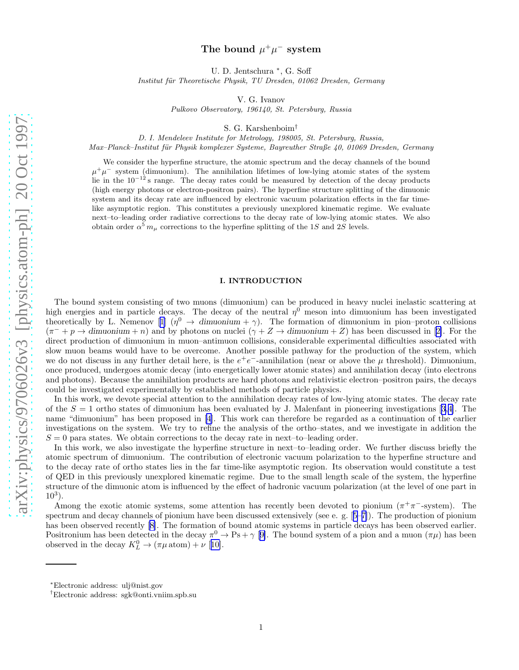# The bound  $\mu^+\mu^-$  system

U. D. Jentschura <sup>∗</sup> , G. Soff

<span id="page-0-0"></span>Institut für Theoretische Physik, TU Dresden, 01062 Dresden, Germany

V. G. Ivanov

Pulkovo Observatory, 196140, St. Petersburg, Russia

S. G. Karshenboim†

D. I. Mendeleev Institute for Metrology, 198005, St. Petersburg, Russia,

Max–Planck–Institut für Physik komplexer Systeme, Bayreuther Straße 40, 01069 Dresden, Germany

We consider the hyperfine structure, the atomic spectrum and the decay channels of the bound  $\mu^+\mu^-$  system (dimuonium). The annihilation lifetimes of low-lying atomic states of the system lie in the  $10^{-12}$  s range. The decay rates could be measured by detection of the decay products (high energy photons or electron-positron pairs). The hyperfine structure splitting of the dimuonic system and its decay rate are influenced by electronic vacuum polarization effects in the far timelike asymptotic region. This constitutes a previously unexplored kinematic regime. We evaluate next–to–leading order radiative corrections to the decay rate of low-lying atomic states. We also obtain order  $\alpha^5 m_\mu$  corrections to the hyperfine splitting of the 1S and 2S levels.

### I. INTRODUCTION

The bound system consisting of two muons (dimuonium) can be produced in heavy nuclei inelastic scattering at high energies and in particle decays. The decay of the neutral  $\eta^0$  meson into dimuonium has been investigated theoreticallyby L. Nemenov [[1\]](#page-12-0)  $(\eta^0 \to \text{dimuonium} + \gamma)$ . The formation of dimuonium in pion–proton collisions  $(\pi^- + p \rightarrow$  $(\pi^- + p \rightarrow$  $(\pi^- + p \rightarrow$  dimuonium + n) and by photons on nuclei  $(\gamma + Z \rightarrow$  dimuonium + Z) has been discussed in [[2\]](#page-12-0). For the direct production of dimuonium in muon–antimuon collisions, considerable experimental difficulties associated with slow muon beams would have to be overcome. Another possible pathway for the production of the system, which we do not discuss in any further detail here, is the  $e^+e^-$ -annihilation (near or above the  $\mu$  threshold). Dimuonium, once produced, undergoes atomic decay (into energetically lower atomic states) and annihilation decay (into electrons and photons). Because the annihilation products are hard photons and relativistic electron–positron pairs, the decays could be investigated experimentally by established methods of particle physics.

In this work, we devote special attention to the annihilation decay rates of low-lying atomic states. The decay rate ofthe  $S = 1$  ortho states of dimuonium has been evaluated by J. Malenfant in pioneering investigations [[3,4\]](#page-12-0). The name "dimuonium" has been proposed in [\[4](#page-12-0)]. This work can therefore be regarded as a continuation of the earlier investigations on the system. We try to refine the analysis of the ortho–states, and we investigate in addition the  $S = 0$  para states. We obtain corrections to the decay rate in next–to–leading order.

In this work, we also investigate the hyperfine structure in next–to–leading order. We further discuss briefly the atomic spectrum of dimuonium. The contribution of electronic vacuum polarization to the hyperfine structure and to the decay rate of ortho states lies in the far time-like asymptotic region. Its observation would constitute a test of QED in this previously unexplored kinematic regime. Due to the small length scale of the system, the hyperfine structure of the dimuonic atom is influenced by the effect of hadronic vacuum polarization (at the level of one part in  $10^3$ ).

Among the exotic atomic systems, some attention has recently been devoted to pionium  $(\pi^+\pi^-)$ -system. The spectrum and decay channels of pionium have been discussed extensively (see e. g.[[5–7\]](#page-12-0)). The production of pionium has been observed recently [\[8](#page-12-0)]. The formation of bound atomic systems in particle decays has been observed earlier. Positronium has been detected in the decay  $\pi^0 \to \text{Ps} + \gamma$  [[9\]](#page-12-0). The bound system of a pion and a muon  $(\pi \mu)$  has been observed in the decay  $K^0_L \to (\pi \mu \text{ atom}) + \nu$  [[10\]](#page-12-0).

<sup>∗</sup>Electronic address: ulj@nist.gov

<sup>†</sup>Electronic address: sgk@onti.vniim.spb.su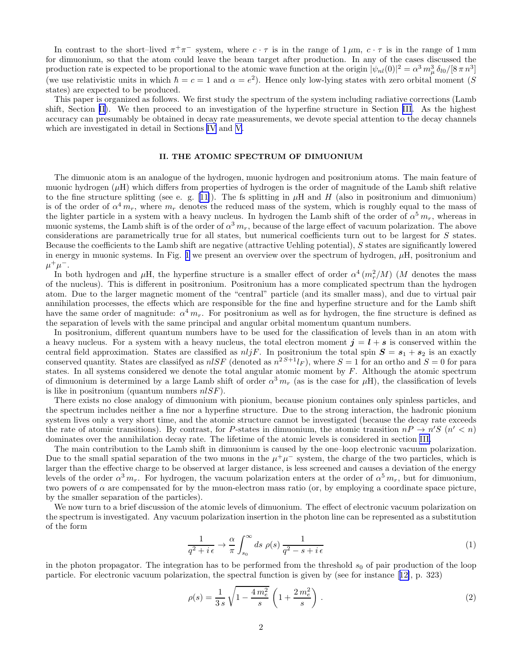<span id="page-1-0"></span>In contrast to the short–lived  $\pi^+\pi^-$  system, where  $c \cdot \tau$  is in the range of  $1 \mu m$ ,  $c \cdot \tau$  is in the range of  $1 \text{ mm}$ for dimuonium, so that the atom could leave the beam target after production. In any of the cases discussed the production rate is expected to be proportional to the atomic wave function at the origin  $|\psi_{nl}(0)|^2 = \alpha^3 m_\mu^3 \delta_{l0}/[8 \pi n^3]$ (we use relativistic units in which  $\hbar = c = 1$  and  $\alpha = e^2$ ). Hence only low-lying states with zero orbital moment (S states) are expected to be produced.

This paper is organized as follows. We first study the spectrum of the system including radiative corrections (Lamb shift, Section II). We then proceed to an investigation of the hyperfine structure in Section [III](#page-2-0). As the highest accuracy can presumably be obtained in decay rate measurements, we devote special attention to the decay channels which are investigated in detail in Sections [IV](#page-7-0) and [V](#page-9-0).

### II. THE ATOMIC SPECTRUM OF DIMUONIUM

The dimuonic atom is an analogue of the hydrogen, muonic hydrogen and positronium atoms. The main feature of muonic hydrogen  $(\mu H)$  which differs from properties of hydrogen is the order of magnitude of the Lamb shift relative tothe fine structure splitting (see e. g. [[11\]](#page-12-0)). The fs splitting in  $\mu$ H and H (also in positronium and dimuonium) is of the order of  $\alpha^4 m_r$ , where  $m_r$  denotes the reduced mass of the system, which is roughly equal to the mass of the lighter particle in a system with a heavy nucleus. In hydrogen the Lamb shift of the order of  $\alpha^5 m_r$ , whereas in muonic systems, the Lamb shift is of the order of  $\alpha^3 m_r$ , because of the large effect of vacuum polarization. The above considerations are parametrically true for all states, but numerical coefficients turn out to be largest for S states. Because the coefficients to the Lamb shift are negative (attractive Uehling potential), S states are significantly lowered in energy in muonic systems. In Fig. [1](#page-17-0) we present an overview over the spectrum of hydrogen,  $\mu$ H, positronium and  $\mu^+ \mu^-$ .

In both hydrogen and  $\mu$ H, the hyperfine structure is a smaller effect of order  $\alpha^4 (m_r^2/M)$  (M denotes the mass of the nucleus). This is different in positronium. Positronium has a more complicated spectrum than the hydrogen atom. Due to the larger magnetic moment of the "central" particle (and its smaller mass), and due to virtual pair annihilation processes, the effects which are responsible for the fine and hyperfine structure and for the Lamb shift have the same order of magnitude:  $\alpha^4 m_r$ . For positronium as well as for hydrogen, the fine structure is defined as the separation of levels with the same principal and angular orbital momentum quantum numbers.

In positronium, different quantum numbers have to be used for the classification of levels than in an atom with a heavy nucleus. For a system with a heavy nucleus, the total electron moment  $j = l + s$  is conserved within the central field approximation. States are classified as  $nljF$ . In positronium the total spin  $S = s_1 + s_2$  is an exactly conserved quantity. States are classifyed as  $nS$  (denoted as  $n^{2S+1}I_F$ ), where  $S = 1$  for an ortho and  $S = 0$  for para states. In all systems considered we denote the total angular atomic moment by F. Although the atomic spectrum of dimuonium is determined by a large Lamb shift of order  $\alpha^3 m_r$  (as is the case for  $\mu$ H), the classification of levels is like in positronium (quantum numbers  $nlSF$ ).

There exists no close analogy of dimuonium with pionium, because pionium containes only spinless particles, and the spectrum includes neither a fine nor a hyperfine structure. Due to the strong interaction, the hadronic pionium system lives only a very short time, and the atomic structure cannot be investigated (because the decay rate exceeds the rate of atomic transitions). By contrast, for P-states in dimuonium, the atomic transition  $nP \to n'S$  ( $n' < n$ ) dominates over the annihilation decay rate. The lifetime of the atomic levels is considered in section [III.](#page-2-0)

The main contribution to the Lamb shift in dimuonium is caused by the one–loop electronic vacuum polarization. Due to the small spatial separation of the two muons in the  $\mu^+\mu^-$  system, the charge of the two particles, which is larger than the effective charge to be observed at larger distance, is less screened and causes a deviation of the energy levels of the order  $\alpha^3 m_r$ . For hydrogen, the vacuum polarization enters at the order of  $\alpha^5 m_r$ , but for dimuonium, two powers of  $\alpha$  are compensated for by the muon-electron mass ratio (or, by employing a coordinate space picture, by the smaller separation of the particles).

We now turn to a brief discussion of the atomic levels of dimuonium. The effect of electronic vacuum polarization on the spectrum is investigated. Any vacuum polarization insertion in the photon line can be represented as a substitution of the form

$$
\frac{1}{q^2 + i\,\epsilon} \to \frac{\alpha}{\pi} \int_{s_0}^{\infty} ds \,\,\rho(s) \,\frac{1}{q^2 - s + i\,\epsilon} \tag{1}
$$

in the photon propagator. The integration has to be performed from the threshold  $s_0$  of pair production of the loop particle. For electronic vacuum polarization, the spectral function is given by (see for instance[[12\]](#page-12-0), p. 323)

$$
\rho(s) = \frac{1}{3s} \sqrt{1 - \frac{4m_e^2}{s}} \left( 1 + \frac{2m_e^2}{s} \right). \tag{2}
$$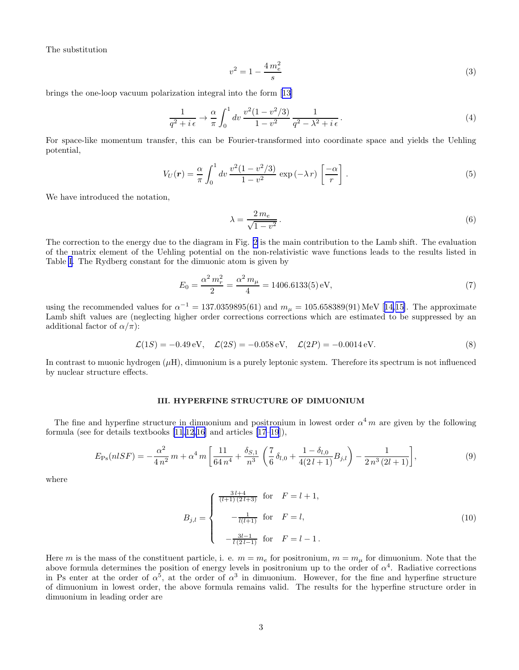<span id="page-2-0"></span>The substitution

$$
v^2 = 1 - \frac{4m_e^2}{s} \tag{3}
$$

brings the one-loop vacuum polarization integral into the form [\[13](#page-12-0)]

$$
\frac{1}{q^2 + i\epsilon} \to \frac{\alpha}{\pi} \int_0^1 dv \, \frac{v^2 (1 - v^2/3)}{1 - v^2} \, \frac{1}{q^2 - \lambda^2 + i\epsilon} \,. \tag{4}
$$

For space-like momentum transfer, this can be Fourier-transformed into coordinate space and yields the Uehling potential,

$$
V_U(\mathbf{r}) = \frac{\alpha}{\pi} \int_0^1 dv \, \frac{v^2 (1 - v^2 / 3)}{1 - v^2} \, \exp\left(-\lambda \, r\right) \left[\frac{-\alpha}{r}\right] \, . \tag{5}
$$

We have introduced the notation,

$$
\lambda = \frac{2 \, m_e}{\sqrt{1 - v^2}}. \tag{6}
$$

The correction to the energy due to the diagram in Fig. [2](#page-17-0) is the main contribution to the Lamb shift. The evaluation of the matrix element of the Uehling potential on the non-relativistic wave functions leads to the results listed in Table [I.](#page-13-0) The Rydberg constant for the dimuonic atom is given by

$$
E_0 = \frac{\alpha^2 m_r^2}{2} = \frac{\alpha^2 m_\mu}{4} = 1406.6133(5) \text{ eV},\tag{7}
$$

usingthe recommended values for  $\alpha^{-1} = 137.0359895(61)$  and  $m_{\mu} = 105.658389(91)$  MeV [[14,15\]](#page-12-0). The approximate Lamb shift values are (neglecting higher order corrections corrections which are estimated to be suppressed by an additional factor of  $\alpha/\pi$ :

$$
\mathcal{L}(1S) = -0.49 \,\text{eV}, \quad \mathcal{L}(2S) = -0.058 \,\text{eV}, \quad \mathcal{L}(2P) = -0.0014 \,\text{eV}.
$$
 (8)

In contrast to muonic hydrogen  $(\mu H)$ , dimuonium is a purely leptonic system. Therefore its spectrum is not influenced by nuclear structure effects.

# III. HYPERFINE STRUCTURE OF DIMUONIUM

The fine and hyperfine structure in dimuonium and positronium in lowest order  $\alpha^4 m$  are given by the following formula (see for details textbooks [\[11](#page-12-0),[12](#page-12-0),[16\]](#page-12-0) and articles [\[17–19](#page-12-0)]),

$$
E_{\rm Ps}(nlSF) = -\frac{\alpha^2}{4\,n^2}\,m + \alpha^4\,m\left[\frac{11}{64\,n^4} + \frac{\delta_{S,1}}{n^3}\,\left(\frac{7}{6}\,\delta_{l,0} + \frac{1-\delta_{l,0}}{4(2\,l+1)}B_{j,l}\right) - \frac{1}{2\,n^3\,(2l+1)}\right],\tag{9}
$$

where

$$
B_{j,l} = \begin{cases} \frac{3l+4}{(l+1)(2l+3)} & \text{for } F = l+1, \\ -\frac{1}{l(l+1)} & \text{for } F = l, \\ -\frac{3l-1}{l(2l-1)} & \text{for } F = l-1. \end{cases}
$$
 (10)

Here m is the mass of the constituent particle, i. e.  $m = m_e$  for positronium,  $m = m_\mu$  for dimuonium. Note that the above formula determines the position of energy levels in positronium up to the order of  $\alpha^4$ . Radiative corrections in Ps enter at the order of  $\alpha^5$ , at the order of  $\alpha^3$  in dimuonium. However, for the fine and hyperfine structure of dimuonium in lowest order, the above formula remains valid. The results for the hyperfine structure order in dimuonium in leading order are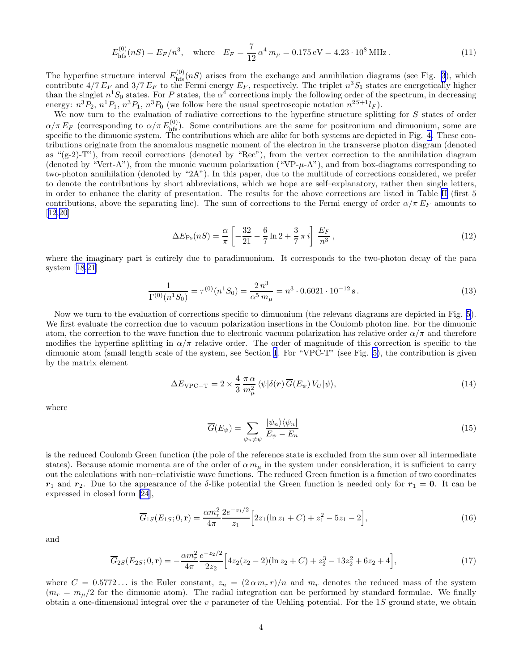$$
E_{\text{hfs}}^{(0)}(nS) = E_F/n^3, \quad \text{where} \quad E_F = \frac{7}{12} \alpha^4 \, m_\mu = 0.175 \,\text{eV} = 4.23 \cdot 10^8 \,\text{MHz} \,. \tag{11}
$$

<span id="page-3-0"></span>The hyperfine structure interval  $E_{\text{hfs}}^{(0)}(nS)$  arises from the exchange and annihilation diagrams (see Fig. [3](#page-18-0)), which contribute  $4/7 E_F$  and  $3/7 E_F$  to the Fermi energy  $E_F$ , respectively. The triplet  $n^3S_1$  states are energetically higher than the singlet  $n^1S_0$  states. For P states, the  $\alpha^4$  corrections imply the following order of the spectrum, in decreasing energy:  $n^3P_2$ ,  $n^1P_1$ ,  $n^3P_1$ ,  $n^3P_0$  (we follow here the usual spectroscopic notation  $n^{2S+1}I_F$ ).

We now turn to the evaluation of radiative corrections to the hyperfine structure splitting for S states of order  $\alpha/\pi E_F$  (corresponding to  $\alpha/\pi E_{\text{hfs}}^{(0)}$ ). Some contributions are the same for positronium and dimuonium, some are specific to the dimuonic system. The contributions which are alike for both systems are depicted in Fig. [4.](#page-19-0) These contributions originate from the anomalous magnetic moment of the electron in the transverse photon diagram (denoted as " $(g-2)$ -T"), from recoil corrections (denoted by "Rec"), from the vertex correction to the annihilation diagram (denoted by "Vert-A"), from the muonic vacuum polarization ("VP- $\mu$ -A"), and from box-diagrams corresponding to two-photon annihilation (denoted by "2A"). In this paper, due to the multitude of corrections considered, we prefer to denote the contributions by short abbreviations, which we hope are self–explanatory, rather then single letters, in order to enhance the clarity of presentation. The results for the above corrections are listed in Table [II](#page-14-0) (first 5 contributions, above the separating line). The sum of corrections to the Fermi energy of order  $\alpha/\pi E_F$  amounts to [[12,20\]](#page-12-0)

$$
\Delta E_{\rm Ps}(nS) = \frac{\alpha}{\pi} \left[ -\frac{32}{21} - \frac{6}{7} \ln 2 + \frac{3}{7} \pi i \right] \frac{E_F}{n^3},\tag{12}
$$

where the imaginary part is entirely due to paradimuonium. It corresponds to the two-photon decay of the para system[[18,21\]](#page-12-0)

$$
\frac{1}{\Gamma^{(0)}(n^1 S_0)} = \tau^{(0)}(n^1 S_0) = \frac{2 n^3}{\alpha^5 m_\mu} = n^3 \cdot 0.6021 \cdot 10^{-12} \,\mathrm{s} \,. \tag{13}
$$

Now we turn to the evaluation of corrections specific to dimuonium (the relevant diagrams are depicted in Fig. [5](#page-20-0)). We first evaluate the correction due to vacuum polarization insertions in the Coulomb photon line. For the dimuonic atom, the correction to the wave function due to electronic vacuum polarization has relative order  $\alpha/\pi$  and therefore modifies the hyperfine splitting in  $\alpha/\pi$  relative order. The order of magnitude of this correction is specific to the dimuonic atom (small length scale of the system, see Section [I.](#page-0-0) For "VPC-T" (see Fig. [5\)](#page-20-0), the contribution is given by the matrix element

$$
\Delta E_{\rm VPC-T} = 2 \times \frac{4}{3} \frac{\pi \alpha}{m_{\mu}^2} \langle \psi | \delta(\mathbf{r}) \overline{G}(E_{\psi}) V_U | \psi \rangle, \qquad (14)
$$

where

$$
\overline{G}(E_{\psi}) = \sum_{\psi_n \neq \psi} \frac{|\psi_n\rangle\langle\psi_n|}{E_{\psi} - E_n}
$$
\n(15)

is the reduced Coulomb Green function (the pole of the reference state is excluded from the sum over all intermediate states). Because atomic momenta are of the order of  $\alpha m_\mu$  in the system under consideration, it is sufficient to carry out the calculations with non–relativistic wave functions. The reduced Green function is a function of two coordinates  $r_1$  and  $r_2$ . Due to the appearance of the δ-like potential the Green function is needed only for  $r_1 = 0$ . It can be expressed in closed form[[24](#page-12-0)],

$$
\overline{G}_{1S}(E_{1S};0,\mathbf{r}) = \frac{\alpha m_r^2}{4\pi} \frac{2e^{-z_1/2}}{z_1} \left[ 2z_1(\ln z_1 + C) + z_1^2 - 5z_1 - 2 \right],\tag{16}
$$

and

$$
\overline{G}_{2S}(E_{2S};0,\mathbf{r}) = -\frac{\alpha m_r^2}{4\pi} \frac{e^{-z_2/2}}{2z_2} \Big[ 4z_2(z_2 - 2)(\ln z_2 + C) + z_2^3 - 13z_2^2 + 6z_2 + 4 \Big],\tag{17}
$$

where  $C = 0.5772...$  is the Euler constant,  $z_n = (2 \alpha m_r r)/n$  and  $m_r$  denotes the reduced mass of the system  $(m_r = m_u/2$  for the dimuonic atom). The radial integration can be performed by standard formulae. We finally obtain a one-dimensional integral over the  $v$  parameter of the Uehling potential. For the 1S ground state, we obtain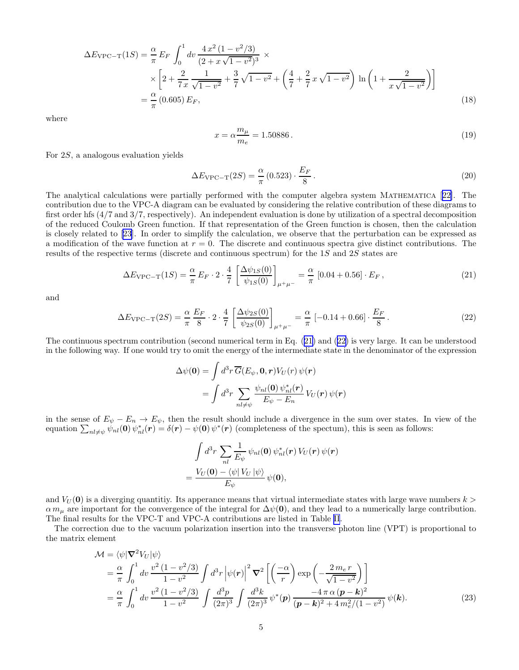<span id="page-4-0"></span>
$$
\Delta E_{\text{VPC-T}}(1S) = \frac{\alpha}{\pi} E_F \int_0^1 dv \frac{4 x^2 (1 - v^2/3)}{(2 + x\sqrt{1 - v^2})^3} \times \left[2 + \frac{2}{7x} \frac{1}{\sqrt{1 - v^2}} + \frac{3}{7} \sqrt{1 - v^2} + \left(\frac{4}{7} + \frac{2}{7} x \sqrt{1 - v^2}\right) \ln\left(1 + \frac{2}{x\sqrt{1 - v^2}}\right)\right]
$$
  
=  $\frac{\alpha}{\pi} (0.605) E_F,$  (18)

where

$$
x = \alpha \frac{m_{\mu}}{m_e} = 1.50886.
$$
 (19)

For 2S, a analogous evaluation yields

$$
\Delta E_{\rm VPC-T}(2S) = \frac{\alpha}{\pi} (0.523) \cdot \frac{E_F}{8} \,. \tag{20}
$$

The analytical calculations were partially performed with the computer algebra system Mathematica [[22](#page-12-0)]. The contribution due to the VPC-A diagram can be evaluated by considering the relative contribution of these diagrams to first order hfs (4/7 and 3/7, respectively). An independent evaluation is done by utilization of a spectral decomposition of the reduced Coulomb Green function. If that representation of the Green function is chosen, then the calculation is closely related to [\[23](#page-12-0)]. In order to simplify the calculation, we observe that the perturbation can be expressed as a modification of the wave function at  $r = 0$ . The discrete and continuous spectra give distinct contributions. The results of the respective terms (discrete and continuous spectrum) for the 1S and 2S states are

$$
\Delta E_{\rm VPC-T}(1S) = \frac{\alpha}{\pi} E_F \cdot 2 \cdot \frac{4}{7} \left[ \frac{\Delta \psi_{1S}(0)}{\psi_{1S}(0)} \right]_{\mu^+\mu^-} = \frac{\alpha}{\pi} [0.04 + 0.56] \cdot E_F , \qquad (21)
$$

and

$$
\Delta E_{\rm VPC-T}(2S) = \frac{\alpha}{\pi} \frac{E_F}{8} \cdot 2 \cdot \frac{4}{7} \left[ \frac{\Delta \psi_{2S}(0)}{\psi_{2S}(0)} \right]_{\mu^+\mu^-} = \frac{\alpha}{\pi} \left[ -0.14 + 0.66 \right] \cdot \frac{E_F}{8} \,. \tag{22}
$$

The continuous spectrum contribution (second numerical term in Eq. (21) and (22) is very large. It can be understood in the following way. If one would try to omit the energy of the intermediate state in the denominator of the expression

$$
\Delta\psi(\mathbf{0}) = \int d^3r \, \overline{G}(E_{\psi}, \mathbf{0}, \mathbf{r}) V_U(r) \, \psi(\mathbf{r}) \n= \int d^3r \, \sum_{nl \neq \psi} \frac{\psi_{nl}(\mathbf{0}) \, \psi_{nl}^*(\mathbf{r})}{E_{\psi} - E_n} V_U(\mathbf{r}) \, \psi(\mathbf{r})
$$

in the sense of  $E_{\psi} - E_n \to E_{\psi}$ , then the result should include a divergence in the sum over states. In view of the equation  $\sum_{nl\neq\psi}\dot{\psi}_{nl}(\mathbf{0})\psi_{nl}^*(\mathbf{r})=\delta(\mathbf{r})-\psi(\mathbf{0})\psi^*(\mathbf{r})$  (completeness of the spectum), this is seen as follows:

$$
\int d^3r \sum_{nl} \frac{1}{E_{\psi}} \psi_{nl}(\mathbf{0}) \psi_{nl}^*(\mathbf{r}) V_U(\mathbf{r}) \psi(\mathbf{r})
$$

$$
= \frac{V_U(\mathbf{0}) - \langle \psi | V_U | \psi \rangle}{E_{\psi}} \psi(\mathbf{0}),
$$

and  $V_U(\mathbf{0})$  is a diverging quantitiy. Its apperance means that virtual intermediate states with large wave numbers  $k >$  $\alpha m_{\mu}$  are important for the convergence of the integral for  $\Delta\psi(\mathbf{0})$ , and they lead to a numerically large contribution. The final results for the VPC-T and VPC-A contributions are listed in Table [II](#page-14-0).

The correction due to the vacuum polarization insertion into the transverse photon line (VPT) is proportional to the matrix element

$$
\mathcal{M} = \langle \psi | \nabla^2 V_U | \psi \rangle \n= \frac{\alpha}{\pi} \int_0^1 dv \frac{v^2 (1 - v^2 / 3)}{1 - v^2} \int d^3 r \left| \psi(r) \right|^2 \nabla^2 \left[ \left( \frac{-\alpha}{r} \right) \exp \left( -\frac{2 m_e r}{\sqrt{1 - v^2}} \right) \right] \n= \frac{\alpha}{\pi} \int_0^1 dv \frac{v^2 (1 - v^2 / 3)}{1 - v^2} \int \frac{d^3 p}{(2\pi)^3} \int \frac{d^3 k}{(2\pi)^3} \psi^*(\mathbf{p}) \frac{-4 \pi \alpha (\mathbf{p} - \mathbf{k})^2}{(\mathbf{p} - \mathbf{k})^2 + 4 m_e^2 / (1 - v^2)} \psi(\mathbf{k}).
$$
\n(23)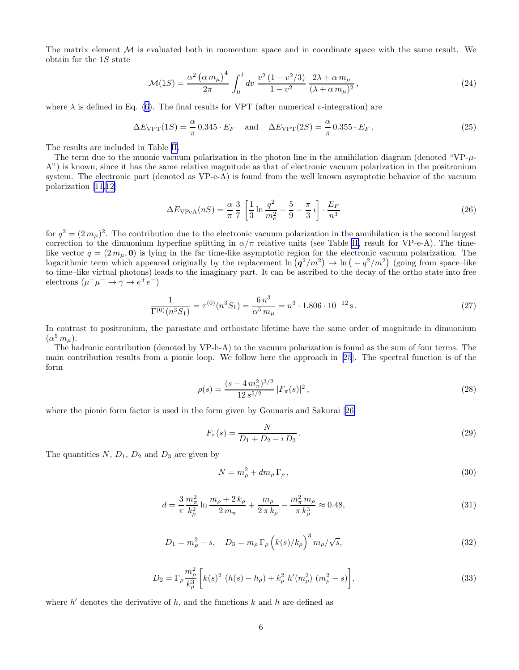<span id="page-5-0"></span>The matrix element  $M$  is evaluated both in momentum space and in coordinate space with the same result. We obtain for the 1S state

$$
\mathcal{M}(1S) = \frac{\alpha^2 (\alpha m_\mu)^4}{2\pi} \int_0^1 dv \, \frac{v^2 (1 - v^2/3)}{1 - v^2} \, \frac{2\lambda + \alpha m_\mu}{(\lambda + \alpha m_\mu)^2},\tag{24}
$$

where  $\lambda$  is defined in Eq. [\(6](#page-2-0)). The final results for VPT (after numerical v-integration) are

$$
\Delta E_{\text{VPT}}(1S) = \frac{\alpha}{\pi} 0.345 \cdot E_F \quad \text{and} \quad \Delta E_{\text{VPT}}(2S) = \frac{\alpha}{\pi} 0.355 \cdot E_F. \tag{25}
$$

The results are included in Table [II](#page-14-0).

The term due to the muonic vacuum polarization in the photon line in the annihilation diagram (denoted "VP- $\mu$ -A") is known, since it has the same relative magnitude as that of electronic vacuum polarization in the positronium system. The electronic part (denoted as VP-e-A) is found from the well known asymptotic behavior of the vacuum polarization[[11,12\]](#page-12-0)

$$
\Delta E_{\rm VPeA}(nS) = \frac{\alpha}{\pi} \frac{3}{7} \left[ \frac{1}{3} \ln \frac{q^2}{m_e^2} - \frac{5}{9} - \frac{\pi}{3} i \right] \cdot \frac{E_F}{n^3}
$$
(26)

for  $q^2 = (2 m_\mu)^2$ . The contribution due to the electronic vacuum polarization in the annihilation is the second largest correction to the dimuonium hyperfine splitting in  $\alpha/\pi$  relative units (see Table [II,](#page-14-0) result for VP-e-A). The timelike vector  $q = (2 m_{\mu}, \mathbf{0})$  is lying in the far time-like asymptotic region for the electronic vacuum polarization. The logarithmic term which appeared originally by the replacement  $\ln (q^2/m^2) \to \ln (-q^2/m^2)$  (going from space–like to time–like virtual photons) leads to the imaginary part. It can be ascribed to the decay of the ortho state into free electrons  $(\mu^+\mu^- \to \gamma \to e^+e^-)$ 

$$
\frac{1}{\Gamma^{(0)}(n^3 S_1)} = \tau^{(0)}(n^3 S_1) = \frac{6 n^3}{\alpha^5 m_\mu} = n^3 \cdot 1.806 \cdot 10^{-12} \,\mathrm{s} \,. \tag{27}
$$

In contrast to positronium, the parastate and orthostate lifetime have the same order of magnitude in dimuonium  $(\alpha^5 m_\mu).$ 

The hadronic contribution (denoted by VP-h-A) to the vacuum polarization is found as the sum of four terms. The main contribution results from a pionic loop. We follow here the approach in [\[25](#page-12-0)]. The spectral function is of the form

$$
\rho(s) = \frac{(s - 4\,m_{\pi}^2)^{3/2}}{12\,s^{5/2}}\,|F_{\pi}(s)|^2\,,\tag{28}
$$

where the pionic form factor is used in the form given by Gounaris and Sakurai[[26\]](#page-12-0)

$$
F_{\pi}(s) = \frac{N}{D_1 + D_2 - i D_3}.
$$
\n(29)

The quantities  $N$ ,  $D_1$ ,  $D_2$  and  $D_3$  are given by

$$
N = m_{\rho}^2 + dm_{\rho} \Gamma_{\rho} \,, \tag{30}
$$

$$
d = \frac{3}{\pi} \frac{m_{\pi}^2}{k_{\rho}^2} \ln \frac{m_{\rho} + 2 k_{\rho}}{2 m_{\pi}} + \frac{m_{\rho}}{2 \pi k_{\rho}} - \frac{m_{\pi}^2 m_{\rho}}{\pi k_{\rho}^3} \approx 0.48, \tag{31}
$$

$$
D_1 = m_\rho^2 - s, \quad D_3 = m_\rho \Gamma_\rho \left( k(s) / k_\rho \right)^3 m_\rho / \sqrt{s}, \tag{32}
$$

$$
D_2 = \Gamma_\rho \frac{m_\rho^2}{k_\rho^3} \left[ k(s)^2 \left( h(s) - h_\rho \right) + k_\rho^2 \ h'(m_\rho^2) \left( m_\rho^2 - s \right) \right],\tag{33}
$$

where  $h'$  denotes the derivative of h, and the functions  $k$  and h are defined as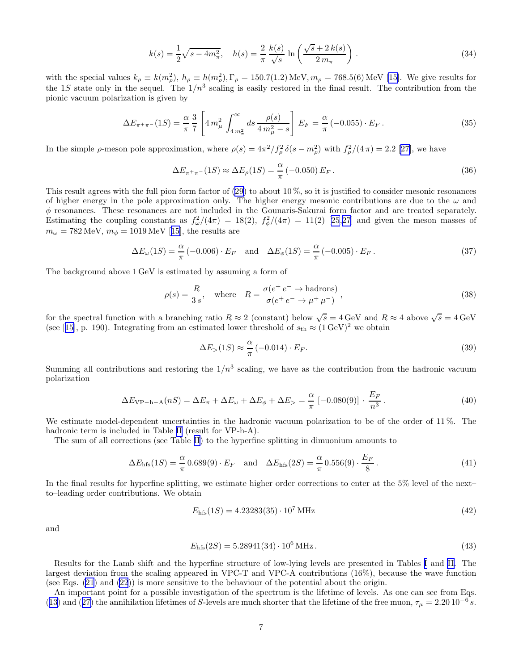$$
k(s) = \frac{1}{2}\sqrt{s - 4m_{\pi}^2}, \quad h(s) = \frac{2}{\pi} \frac{k(s)}{\sqrt{s}} \ln\left(\frac{\sqrt{s} + 2k(s)}{2m_{\pi}}\right). \tag{34}
$$

withthe special values  $k_{\rho} \equiv k(m_{\rho}^2)$ ,  $h_{\rho} \equiv h(m_{\rho}^2)$ ,  $\Gamma_{\rho} = 150.7(1.2)$  MeV,  $m_{\rho} = 768.5(6)$  MeV [[15\]](#page-12-0). We give results for the 1S state only in the sequel. The  $1/n^3$  scaling is easily restored in the final result. The contribution from the pionic vacuum polarization is given by

$$
\Delta E_{\pi^+\pi^-}(1S) = \frac{\alpha}{\pi} \frac{3}{7} \left[ 4 \, m_\mu^2 \, \int_{4 \, m_\pi^2}^{\infty} ds \, \frac{\rho(s)}{4 \, m_\mu^2 - s} \right] \, E_F = \frac{\alpha}{\pi} \left( -0.055 \right) \cdot E_F \,. \tag{35}
$$

In the simple  $\rho$ -meson pole approximation, where  $\rho(s) = 4\pi^2/f_\rho^2 \delta(s - m_\rho^2)$  with  $f_\rho^2/(4\pi) = 2.2$  [\[27](#page-12-0)], we have

$$
\Delta E_{\pi^+\pi^-}(1S) \approx \Delta E_{\rho}(1S) = \frac{\alpha}{\pi} \left(-0.050\right) E_F. \tag{36}
$$

This result agrees with the full pion form factor of  $(29)$  to about 10%, so it is justified to consider mesonic resonances of higher energy in the pole approximation only. The higher energy mesonic contributions are due to the  $\omega$  and  $\phi$  resonances. These resonances are not included in the Gounaris-Sakurai form factor and are treated separately. Estimatingthe coupling constants as  $f_{\omega}^2/(4\pi) = 18(2), f_{\phi}^2/(4\pi) = 11(2)$  [[25](#page-12-0),[27\]](#page-12-0) and given the meson masses of  $m_{\omega} = 782 \text{ MeV}, m_{\phi} = 1019 \text{ MeV}$  $m_{\omega} = 782 \text{ MeV}, m_{\phi} = 1019 \text{ MeV}$  $m_{\omega} = 782 \text{ MeV}, m_{\phi} = 1019 \text{ MeV}$  [[15\]](#page-12-0), the results are

$$
\Delta E_{\omega}(1S) = \frac{\alpha}{\pi} \left( -0.006 \right) \cdot E_F \quad \text{and} \quad \Delta E_{\phi}(1S) = \frac{\alpha}{\pi} \left( -0.005 \right) \cdot E_F \,. \tag{37}
$$

The background above 1 GeV is estimated by assuming a form of

$$
\rho(s) = \frac{R}{3s}, \quad \text{where} \quad R = \frac{\sigma(e^+e^- \to \text{hadrons})}{\sigma(e^+e^- \to \mu^+ \mu^-)},
$$
\n(38)

for the spectral function with a branching ratio  $R \approx 2$  (constant) below  $\sqrt{s} = 4 \text{ GeV}$  and  $R \approx 4$  above  $\sqrt{s} = 4 \text{ GeV}$ (see[[15\]](#page-12-0), p. 190). Integrating from an estimated lower threshold of  $s_{\text{th}} \approx (1 \,\text{GeV})^2$  we obtain

$$
\Delta E_{>}(1S) \approx \frac{\alpha}{\pi} \left( -0.014 \right) \cdot E_F. \tag{39}
$$

Summing all contributions and restoring the  $1/n^3$  scaling, we have as the contribution from the hadronic vacuum polarization

$$
\Delta E_{\rm VP-h-A}(nS) = \Delta E_{\pi} + \Delta E_{\omega} + \Delta E_{\phi} + \Delta E_{>} = \frac{\alpha}{\pi} \left[ -0.080(9) \right] \cdot \frac{E_F}{n^3} \,. \tag{40}
$$

We estimate model-dependent uncertainties in the hadronic vacuum polarization to be of the order of 11%. The hadronic term is included in Table [II](#page-14-0) (result for VP-h-A).

The sum of all corrections (see Table [II](#page-14-0)) to the hyperfine splitting in dimuonium amounts to

$$
\Delta E_{\text{hfs}}(1S) = \frac{\alpha}{\pi} 0.689(9) \cdot E_F \quad \text{and} \quad \Delta E_{\text{hfs}}(2S) = \frac{\alpha}{\pi} 0.556(9) \cdot \frac{E_F}{8} \,. \tag{41}
$$

In the final results for hyperfine splitting, we estimate higher order corrections to enter at the 5% level of the next– to–leading order contributions. We obtain

$$
E_{\text{hfs}}(1S) = 4.23283(35) \cdot 10^7 \,\text{MHz} \tag{42}
$$

and

$$
E_{\rm hfs}(2S) = 5.28941(34) \cdot 10^6 \,\text{MHz} \,. \tag{43}
$$

Results for the Lamb shift and the hyperfine structure of low-lying levels are presented in Tables [I](#page-13-0) and [II.](#page-14-0) The largest deviation from the scaling appeared in VPC-T and VPC-A contributions (16%), because the wave function (see Eqs.  $(21)$  and  $(22)$ ) is more sensitive to the behaviour of the potential about the origin.

An important point for a possible investigation of the spectrum is the lifetime of levels. As one can see from Eqs. ([13\)](#page-3-0)and ([27\)](#page-5-0) the annihilation lifetimes of S-levels are much shorter that the lifetime of the free muon,  $\tau_{\mu} = 2.20 \, 10^{-6} s$ .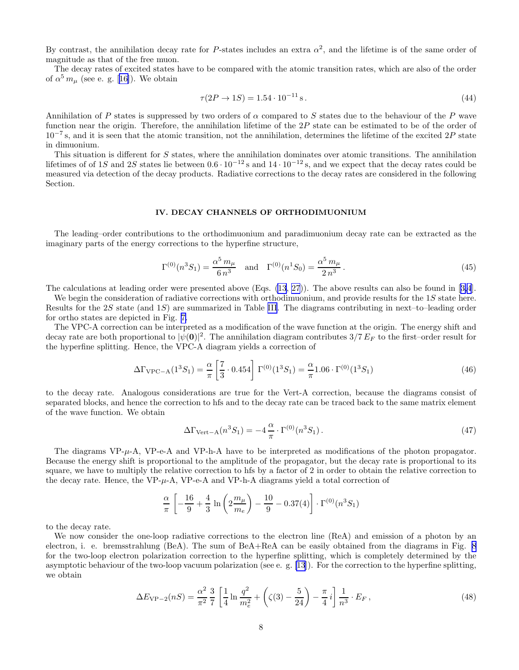<span id="page-7-0"></span>By contrast, the annihilation decay rate for P-states includes an extra  $\alpha^2$ , and the lifetime is of the same order of magnitude as that of the free muon.

The decay rates of excited states have to be compared with the atomic transition rates, which are also of the order of $\alpha^5 m_\mu$  (see e. g. [[16\]](#page-12-0)). We obtain

$$
\tau(2P \to 1S) = 1.54 \cdot 10^{-11} \,\mathrm{s} \,. \tag{44}
$$

Annihilation of P states is suppressed by two orders of  $\alpha$  compared to S states due to the behaviour of the P wave function near the origin. Therefore, the annihilation lifetime of the 2P state can be estimated to be of the order of  $10^{-7}$  s, and it is seen that the atomic transition, not the annihilation, determines the lifetime of the excited 2P state in dimuonium.

This situation is different for S states, where the annihilation dominates over atomic transitions. The annihilation lifetimes of of 1S and 2S states lie between  $0.6 \cdot 10^{-12}$  s and  $14 \cdot 10^{-12}$  s, and we expect that the decay rates could be measured via detection of the decay products. Radiative corrections to the decay rates are considered in the following Section.

## IV. DECAY CHANNELS OF ORTHODIMUONIUM

The leading–order contributions to the orthodimuonium and paradimuonium decay rate can be extracted as the imaginary parts of the energy corrections to the hyperfine structure,

$$
\Gamma^{(0)}(n^3 S_1) = \frac{\alpha^5 m_\mu}{6 n^3} \quad \text{and} \quad \Gamma^{(0)}(n^1 S_0) = \frac{\alpha^5 m_\mu}{2 n^3} \,. \tag{45}
$$

The calculations at leading order were presented above (Eqs. [\(13](#page-3-0), [27](#page-5-0))). The above results can also be found in[[3,4](#page-12-0)].

We begin the consideration of radiative corrections with orthodimuonium, and provide results for the 1S state here. Results for the 2S state (and  $1S$ ) are summarized in Table [III](#page-15-0). The diagrams contributing in next–to–leading order for ortho states are depicted in Fig. [7.](#page-22-0)

The VPC-A correction can be interpreted as a modification of the wave function at the origin. The energy shift and decay rate are both proportional to  $|\psi(0)|^2$ . The annihilation diagram contributes  $3/7 E_F$  to the first–order result for the hyperfine splitting. Hence, the VPC-A diagram yields a correction of

$$
\Delta\Gamma_{\text{VPC}-\text{A}}(1^3S_1) = \frac{\alpha}{\pi} \left[ \frac{7}{3} \cdot 0.454 \right] \Gamma^{(0)}(1^3S_1) = \frac{\alpha}{\pi} 1.06 \cdot \Gamma^{(0)}(1^3S_1)
$$
\n(46)

to the decay rate. Analogous considerations are true for the Vert-A correction, because the diagrams consist of separated blocks, and hence the correction to hfs and to the decay rate can be traced back to the same matrix element of the wave function. We obtain

$$
\Delta\Gamma_{\text{Vert}-\text{A}}(n^3S_1) = -4\frac{\alpha}{\pi} \cdot \Gamma^{(0)}(n^3S_1). \tag{47}
$$

The diagrams  $VP-\mu$ -A,  $VP-e-A$  and  $VP-h-A$  have to be interpreted as modifications of the photon propagator. Because the energy shift is proportional to the amplitude of the propagator, but the decay rate is proportional to its square, we have to multiply the relative correction to hfs by a factor of 2 in order to obtain the relative correction to the decay rate. Hence, the  $VP-\mu-A$ ,  $VP-e-A$  and  $VP-h-A$  diagrams yield a total correction of

$$
\frac{\alpha}{\pi} \left[ -\frac{16}{9} + \frac{4}{3} \ln \left( 2 \frac{m_\mu}{m_e} \right) - \frac{10}{9} - 0.37(4) \right] \cdot \Gamma^{(0)}(n^3 S_1)
$$

to the decay rate.

We now consider the one-loop radiative corrections to the electron line (ReA) and emission of a photon by an electron, i. e. bremsstrahlung (BeA). The sum of BeA+ReA can be easily obtained from the diagrams in Fig. [8](#page-23-0) for the two-loop electron polarization correction to the hyperfine splitting, which is completely determined by the asymptotic behaviour of the two-loop vacuum polarization (see e. g. [\[13](#page-12-0)]). For the correction to the hyperfine splitting, we obtain

$$
\Delta E_{\rm VP-2}(nS) = \frac{\alpha^2}{\pi^2} \frac{3}{7} \left[ \frac{1}{4} \ln \frac{q^2}{m_e^2} + \left( \zeta(3) - \frac{5}{24} \right) - \frac{\pi}{4} i \right] \frac{1}{n^3} \cdot E_F , \qquad (48)
$$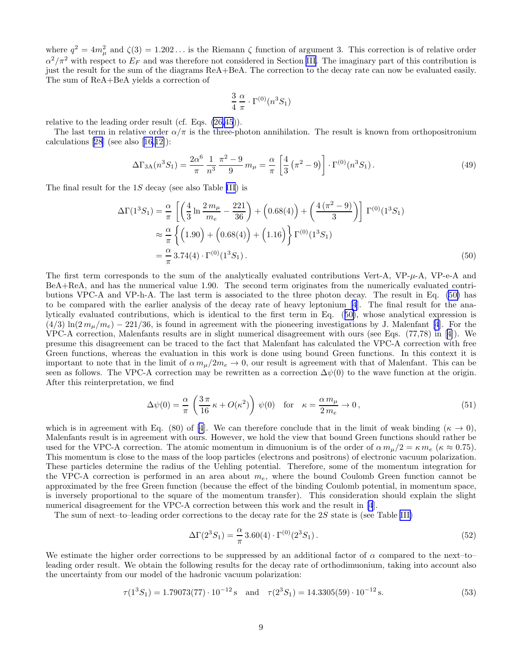where  $q^2 = 4m_\mu^2$  and  $\zeta(3) = 1.202...$  is the Riemann  $\zeta$  function of argument 3. This correction is of relative order  $\alpha^2/\pi^2$  with respect to  $E_F$  and was therefore not considered in Section [III.](#page-2-0) The imaginary part of this contribution is just the result for the sum of the diagrams ReA+BeA. The correction to the decay rate can now be evaluated easily. The sum of ReA+BeA yields a correction of

$$
\frac{3}{4} \frac{\alpha}{\pi} \cdot \Gamma^{(0)}(n^3 S_1)
$$

relative to the leading order result (cf. Eqs. [\(26,](#page-5-0)[45](#page-7-0))).

The last term in relative order  $\alpha/\pi$  is the three-photon annihilation. The result is known from orthopositronium calculations $[28]$  $[28]$  $[28]$  (see also  $[16,12]$  $[16,12]$ ):

$$
\Delta\Gamma_{3A}(n^3S_1) = \frac{2\alpha^6}{\pi} \frac{1}{n^3} \frac{\pi^2 - 9}{9} m_\mu = \frac{\alpha}{\pi} \left[ \frac{4}{3} \left( \pi^2 - 9 \right) \right] \cdot \Gamma^{(0)}(n^3S_1) \,. \tag{49}
$$

The final result for the  $1S$  decay (see also Table [III](#page-15-0)) is

$$
\Delta\Gamma(1^3S_1) = \frac{\alpha}{\pi} \left[ \left( \frac{4}{3} \ln \frac{2m_\mu}{m_e} - \frac{221}{36} \right) + \left( 0.68(4) \right) + \left( \frac{4\left(\pi^2 - 9\right)}{3} \right) \right] \Gamma^{(0)}(1^3S_1)
$$
  
\n
$$
\approx \frac{\alpha}{\pi} \left\{ \left( 1.90 \right) + \left( 0.68(4) \right) + \left( 1.16 \right) \right\} \Gamma^{(0)}(1^3S_1)
$$
  
\n
$$
= \frac{\alpha}{\pi} 3.74(4) \cdot \Gamma^{(0)}(1^3S_1).
$$
\n(50)

The first term corresponds to the sum of the analytically evaluated contributions Vert-A,  $VP-\mu$ -A,  $VP-\epsilon$ -A and BeA+ReA, and has the numerical value 1.90. The second term originates from the numerically evaluated contributions VPC-A and VP-h-A. The last term is associated to the three photon decay. The result in Eq. (50) has to be compared with the earlier analysis of the decay rate of heavy leptonium [\[4](#page-12-0)]. The final result for the analytically evaluated contributions, which is identical to the first term in Eq. (50), whose analytical expression is  $(4/3)$  ln $(2 m<sub>\mu</sub>/m<sub>e</sub>)$  – 221/36, is found in agreement with the pioneering investigations by J. Malenfant [\[4](#page-12-0)]. For the VPC-A correction, Malenfants results are in slight numerical disagreement with ours (see Eqs. (77,78) in[[4\]](#page-12-0)). We presume this disagreement can be traced to the fact that Malenfant has calculated the VPC-A correction with free Green functions, whereas the evaluation in this work is done using bound Green functions. In this context it is important to note that in the limit of  $\alpha m_\mu/2m_e \to 0$ , our result is agreement with that of Malenfant. This can be seen as follows. The VPC-A correction may be rewritten as a correction  $\Delta\psi(0)$  to the wave function at the origin. After this reinterpretation, we find

$$
\Delta\psi(0) = \frac{\alpha}{\pi} \left(\frac{3\pi}{16}\kappa + O(\kappa^2)\right) \psi(0) \quad \text{for} \quad \kappa = \frac{\alpha m_\mu}{2 m_e} \to 0,
$$
\n(51)

which is in agreement with Eq. (80) of [\[4](#page-12-0)]. We can therefore conclude that in the limit of weak binding ( $\kappa \to 0$ ), Malenfants result is in agreement with ours. However, we hold the view that bound Green functions should rather be used for the VPC-A correction. The atomic momentum in dimuonium is of the order of  $\alpha m_u/2 = \kappa m_e$  ( $\kappa \approx 0.75$ ). This momentum is close to the mass of the loop particles (electrons and positrons) of electronic vacuum polarization. These particles determine the radius of the Uehling potential. Therefore, some of the momentum integration for the VPC-A correction is performed in an area about  $m_e$ , where the bound Coulomb Green function cannot be approximated by the free Green function (because the effect of the binding Coulomb potential, in momentum space, is inversely proportional to the square of the momentum transfer). This consideration should explain the slight numerical disagreement for the VPC-A correction between this work and the result in [\[4](#page-12-0)].

The sum of next–to–leading order corrections to the decay rate for the 2S state is (see Table [III\)](#page-15-0)

$$
\Delta\Gamma(2^3S_1) = \frac{\alpha}{\pi} 3.60(4) \cdot \Gamma^{(0)}(2^3S_1). \tag{52}
$$

We estimate the higher order corrections to be suppressed by an additional factor of  $\alpha$  compared to the next–to– leading order result. We obtain the following results for the decay rate of orthodimuonium, taking into account also the uncertainty from our model of the hadronic vacuum polarization:

$$
\tau(1^3S_1) = 1.79073(77) \cdot 10^{-12} \,\mathrm{s} \quad \text{and} \quad \tau(2^3S_1) = 14.3305(59) \cdot 10^{-12} \,\mathrm{s}.\tag{53}
$$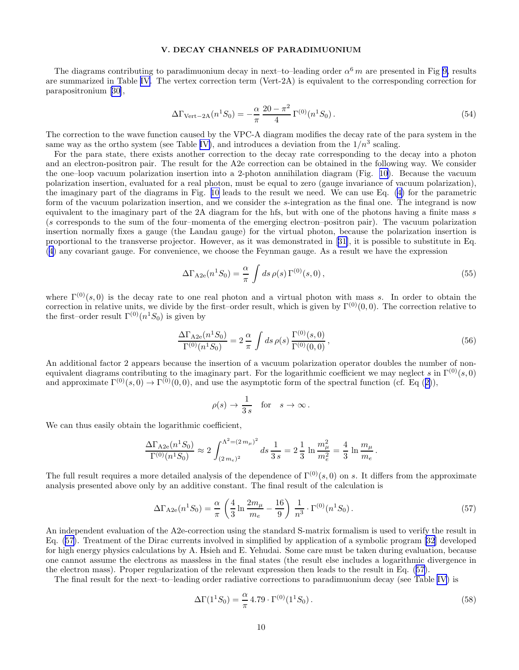# V. DECAY CHANNELS OF PARADIMUONIUM

<span id="page-9-0"></span>The diagrams contributing to paradimuonium decay in next–to–leading order  $\alpha^6 m$  are presented in Fig [9,](#page-24-0) results are summarized in Table [IV.](#page-16-0) The vertex correction term (Vert-2A) is equivalent to the corresponding correction for parapositronium[[30\]](#page-12-0),

$$
\Delta\Gamma_{\text{Vert}-2\text{A}}(n^1S_0) = -\frac{\alpha}{\pi} \frac{20-\pi^2}{4} \Gamma^{(0)}(n^1S_0).
$$
\n(54)

The correction to the wave function caused by the VPC-A diagram modifies the decay rate of the para system in the same way as the ortho system (see Table [IV\)](#page-16-0), and introduces a deviation from the  $1/n^3$  scaling.

For the para state, there exists another correction to the decay rate corresponding to the decay into a photon and an electron-positron pair. The result for the A2e correction can be obtained in the following way. We consider the one–loop vacuum polarization insertion into a 2-photon annihilation diagram (Fig. [10\)](#page-25-0). Because the vacuum polarization insertion, evaluated for a real photon, must be equal to zero (gauge invariance of vacuum polarization), the imaginary part of the diagrams in Fig. [10](#page-25-0) leads to the result we need. We can use Eq.([4\)](#page-2-0) for the parametric form of the vacuum polarization insertion, and we consider the s-integration as the final one. The integrand is now equivalent to the imaginary part of the 2A diagram for the hfs, but with one of the photons having a finite mass s (s corresponds to the sum of the four–momenta of the emerging electron–positron pair). The vacuum polarization insertion normally fixes a gauge (the Landau gauge) for the virtual photon, because the polarization insertion is proportional to the transverse projector. However, as it was demonstrated in[[31](#page-12-0)], it is possible to substitute in Eq. ([4\)](#page-2-0) any covariant gauge. For convenience, we choose the Feynman gauge. As a result we have the expression

$$
\Delta\Gamma_{\text{A2e}}(n^1S_0) = \frac{\alpha}{\pi} \int ds \,\rho(s) \,\Gamma^{(0)}(s,0) \,, \tag{55}
$$

where  $\Gamma^{(0)}(s,0)$  is the decay rate to one real photon and a virtual photon with mass s. In order to obtain the correction in relative units, we divide by the first–order result, which is given by  $\Gamma^{(0)}(0,0)$ . The correction relative to the first–order result  $\Gamma^{(0)}(n^1S_0)$  is given by

$$
\frac{\Delta\Gamma_{A2e}(n^1S_0)}{\Gamma^{(0)}(n^1S_0)} = 2\frac{\alpha}{\pi} \int ds \,\rho(s) \,\frac{\Gamma^{(0)}(s,0)}{\Gamma^{(0)}(0,0)}\,,\tag{56}
$$

An additional factor 2 appears because the insertion of a vacuum polarization operator doubles the number of nonequivalent diagrams contributing to the imaginary part. For the logarithmic coefficient we may neglect s in  $\Gamma^{(0)}(s,0)$ and approximate  $\Gamma^{(0)}(s,0) \to \Gamma^{(0)}(0,0)$ , and use the asymptotic form of the spectral function (cf. Eq ([2\)](#page-1-0)),

$$
\rho(s) \to \frac{1}{3s}
$$
 for  $s \to \infty$ .

We can thus easily obtain the logarithmic coefficient,

$$
\frac{\Delta\Gamma_{A2e}(n^1S_0)}{\Gamma^{(0)}(n^1S_0)} \approx 2\int_{(2\,m_e)^2}^{\Lambda^2=(2\,m_\mu)^2} ds \, \frac{1}{3\,s} = 2\frac{1}{3}\,\ln\frac{m_\mu^2}{m_e^2} = \frac{4}{3}\,\ln\frac{m_\mu}{m_e}\,.
$$

The full result requires a more detailed analysis of the dependence of  $\Gamma^{(0)}(s, 0)$  on s. It differs from the approximate analysis presented above only by an additive constant. The final result of the calculation is

$$
\Delta\Gamma_{\text{A2e}}(n^1S_0) = \frac{\alpha}{\pi} \left( \frac{4}{3} \ln \frac{2m_\mu}{m_e} - \frac{16}{9} \right) \frac{1}{n^3} \cdot \Gamma^{(0)}(n^1S_0).
$$
\n(57)

An independent evaluation of the A2e-correction using the standard S-matrix formalism is used to verify the result in Eq. (57). Treatment of the Dirac currents involved in simplified by application of a symbolic program [\[32](#page-12-0)] developed for high energy physics calculations by A. Hsieh and E. Yehudai. Some care must be taken during evaluation, because one cannot assume the electrons as massless in the final states (the result else includes a logarithmic divergence in the electron mass). Proper regularization of the relevant expression then leads to the result in Eq. (57).

The final result for the next–to–leading order radiative corrections to paradimuonium decay (see Table [IV](#page-16-0)) is

$$
\Delta\Gamma(1^1S_0) = \frac{\alpha}{\pi} 4.79 \cdot \Gamma^{(0)}(1^1S_0).
$$
\n(58)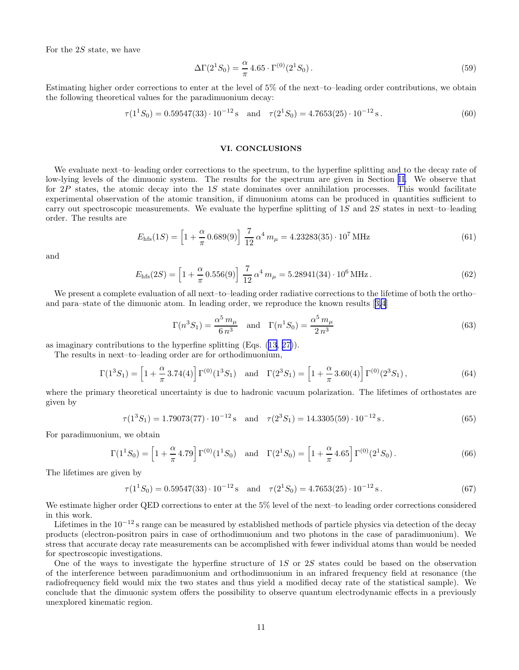For the 2S state, we have

$$
\Delta\Gamma(2^1S_0) = \frac{\alpha}{\pi} 4.65 \cdot \Gamma^{(0)}(2^1S_0).
$$
\n(59)

Estimating higher order corrections to enter at the level of 5% of the next–to–leading order contributions, we obtain the following theoretical values for the paradimuonium decay:

$$
\tau(1^1S_0) = 0.59547(33) \cdot 10^{-12} \,\text{s} \quad \text{and} \quad \tau(2^1S_0) = 4.7653(25) \cdot 10^{-12} \,\text{s} \,. \tag{60}
$$

## VI. CONCLUSIONS

We evaluate next–to–leading order corrections to the spectrum, to the hyperfine splitting and to the decay rate of low-lying levels of the dimuonic system. The results for the spectrum are given in Section [II.](#page-1-0) We observe that for  $2P$  states, the atomic decay into the 1S state dominates over annihilation processes. This would facilitate experimental observation of the atomic transition, if dimuonium atoms can be produced in quantities sufficient to carry out spectroscopic measurements. We evaluate the hyperfine splitting of  $1S$  and  $2S$  states in next–to–leading order. The results are

$$
E_{\rm hfs}(1S) = \left[1 + \frac{\alpha}{\pi} 0.689(9)\right] \frac{7}{12} \alpha^4 m_\mu = 4.23283(35) \cdot 10^7 \,\text{MHz}
$$
\n(61)

and

$$
E_{\rm hfs}(2S) = \left[1 + \frac{\alpha}{\pi} 0.556(9)\right] \frac{7}{12} \alpha^4 m_\mu = 5.28941(34) \cdot 10^6 \,\text{MHz} \,. \tag{62}
$$

We present a complete evaluation of all next–to–leading order radiative corrections to the lifetime of both the ortho– and para–state of the dimuonic atom. In leading order, we reproduce the known results[[3,4](#page-12-0)]

$$
\Gamma(n^3 S_1) = \frac{\alpha^5 m_\mu}{6 n^3}
$$
 and  $\Gamma(n^1 S_0) = \frac{\alpha^5 m_\mu}{2 n^3}$  (63)

as imaginary contributions to the hyperfine splitting (Eqs.([13,](#page-3-0) [27\)](#page-5-0)).

The results in next–to–leading order are for orthodimuonium,

$$
\Gamma(1^3S_1) = \left[1 + \frac{\alpha}{\pi} 3.74(4)\right] \Gamma^{(0)}(1^3S_1) \text{ and } \Gamma(2^3S_1) = \left[1 + \frac{\alpha}{\pi} 3.60(4)\right] \Gamma^{(0)}(2^3S_1),\tag{64}
$$

where the primary theoretical uncertainty is due to hadronic vacuum polarization. The lifetimes of orthostates are given by

$$
\tau(1^3S_1) = 1.79073(77) \cdot 10^{-12} \,\mathrm{s} \quad \text{and} \quad \tau(2^3S_1) = 14.3305(59) \cdot 10^{-12} \,\mathrm{s} \,. \tag{65}
$$

For paradimuonium, we obtain

$$
\Gamma(1^1S_0) = \left[1 + \frac{\alpha}{\pi} 4.79\right] \Gamma^{(0)}(1^1S_0) \quad \text{and} \quad \Gamma(2^1S_0) = \left[1 + \frac{\alpha}{\pi} 4.65\right] \Gamma^{(0)}(2^1S_0).
$$
 (66)

The lifetimes are given by

$$
\tau(1^1S_0) = 0.59547(33) \cdot 10^{-12} \,\text{s} \quad \text{and} \quad \tau(2^1S_0) = 4.7653(25) \cdot 10^{-12} \,\text{s} \,. \tag{67}
$$

We estimate higher order QED corrections to enter at the 5% level of the next–to leading order corrections considered in this work.

Lifetimes in the 10−<sup>12</sup> s range can be measured by established methods of particle physics via detection of the decay products (electron-positron pairs in case of orthodimuonium and two photons in the case of paradimuonium). We stress that accurate decay rate measurements can be accomplished with fewer individual atoms than would be needed for spectroscopic investigations.

One of the ways to investigate the hyperfine structure of 1S or 2S states could be based on the observation of the interference between paradimuonium and orthodimuonium in an infrared frequency field at resonance (the radiofrequency field would mix the two states and thus yield a modified decay rate of the statistical sample). We conclude that the dimuonic system offers the possibility to observe quantum electrodynamic effects in a previously unexplored kinematic region.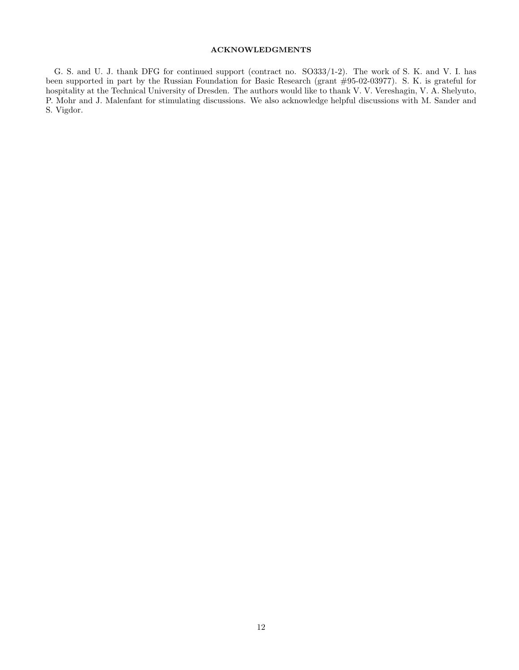# ACKNOWLEDGMENTS

G. S. and U. J. thank DFG for continued support (contract no. SO333/1-2). The work of S. K. and V. I. has been supported in part by the Russian Foundation for Basic Research (grant #95-02-03977). S. K. is grateful for hospitality at the Technical University of Dresden. The authors would like to thank V. V. Vereshagin, V. A. Shelyuto, P. Mohr and J. Malenfant for stimulating discussions. We also acknowledge helpful discussions with M. Sander and S. Vigdor.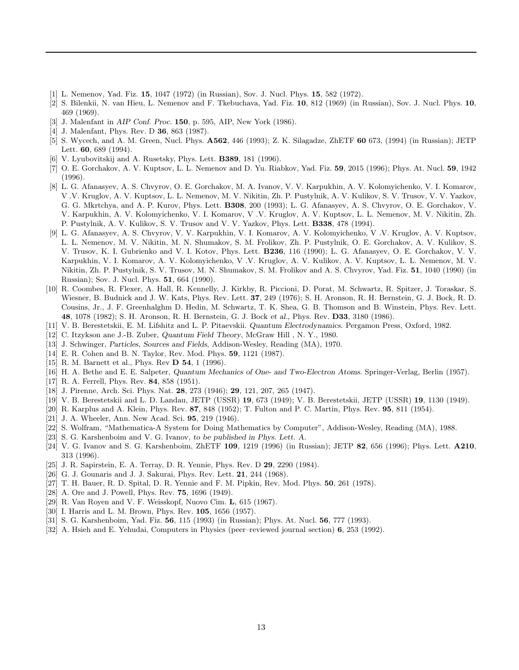- <span id="page-12-0"></span>[1] L. Nemenov, Yad. Fiz. 15, 1047 (1972) (in Russian), Sov. J. Nucl. Phys. 15, 582 (1972).
- [2] S. Bilenkii, N. van Hieu, L. Nemenov and F. Tkebuchava, Yad. Fiz. 10, 812 (1969) (in Russian), Sov. J. Nucl. Phys. 10, 469 (1969).
- [3] J. Malenfant in AIP Conf. Proc. 150, p. 595, AIP, New York (1986).
- [4] J. Malenfant, Phys. Rev. D 36, 863 (1987).
- [5] S. Wycech, and A. M. Green, Nucl. Phys.  $\overline{A562}$ , 446 (1993); Z. K. Silagadze, ZhETF 60 673, (1994) (in Russian); JETP Lett. 60, 689 (1994).
- [6] V. Lyubovitskij and A. Rusetsky, Phys. Lett. B389, 181 (1996).
- [7] O. E. Gorchakov, A. V. Kuptsov, L. L. Nemenov and D. Yu. Riabkov, Yad. Fiz. 59, 2015 (1996); Phys. At. Nucl. 59, 1942 (1996).
- [8] L. G. Afanasyev, A. S. Chvyrov, O. E. Gorchakov, M. A. Ivanov, V. V. Karpukhin, A. V. Kolomyichenko, V. I. Komarov, V .V. Kruglov, A. V. Kuptsov, L. L. Nemenov, M. V. Nikitin, Zh. P. Pustylnik, A. V. Kulikov, S. V. Trusov, V. V. Yazkov, G. G. Mkrtchya, and A. P. Kurov, Phys. Lett. B308, 200 (1993); L. G. Afanasyev, A. S. Chvyrov, O. E. Gorchakov, V. V. Karpukhin, A. V. Kolomyichenko, V. I. Komarov, V .V. Kruglov, A. V. Kuptsov, L. L. Nemenov, M. V. Nikitin, Zh. P. Pustylnik, A. V. Kulikov, S. V. Trusov and V. V. Yazkov, Phys. Lett. B338, 478 (1994).
- [9] L. G. Afanasyev, A. S. Chvyrov, V. V. Karpukhin, V. I. Komarov, A. V. Kolomyichenko, V .V. Kruglov, A. V. Kuptsov, L. L. Nemenov, M. V. Nikitin, M. N. Shumakov, S. M. Frolikov, Zh. P. Pustylnik, O. E. Gorchakov, A. V. Kulikov, S. V. Trusov, K. I. Gubrienko and V. I. Kotov, Phys. Lett. B236, 116 (1990); L. G. Afanasyev, O. E. Gorchakov, V. V. Karpukhin, V. I. Komarov, A. V. Kolomyichenko, V .V. Kruglov, A. V. Kulikov, A. V. Kuptsov, L. L. Nemenov, M. V. Nikitin, Zh. P. Pustylnik, S. V. Trusov, M. N. Shumakov, S. M. Frolikov and A. S. Chvyrov, Yad. Fiz. 51, 1040 (1990) (in Russian); Sov. J. Nucl. Phys. 51, 664 (1990).
- [10] R. Coombes, R. Flexer, A. Hall, R. Kennelly, J. Kirkby, R. Piccioni, D. Porat, M. Schwartz, R. Spitzer, J. Toraskar, S. Wiesner, B. Budnick and J. W. Kats, Phys. Rev. Lett. 37, 249 (1976); S. H. Aronson, R. H. Bernstein, G. J. Bock, R. D. Cousins, Jr., J. F. Greenhalghm D. Hedin, M. Schwartz, T. K. Shea, G. B. Thomson and B. Winstein, Phys. Rev. Lett. 48, 1078 (1982); S. H. Aronson, R. H. Bernstein, G. J. Bock et al., Phys. Rev. D33, 3180 (1986).
- [11] V. B. Berestetskii, E. M. Lifshitz and L. P. Pitaevskii. Quantum Electrodynamics. Pergamon Press, Oxford, 1982.
- [12] C. Itzykson ane J.-B. Zuber, Quantum Field Theory, McGraw Hill , N. Y., 1980.
- [13] J. Schwinger, Particles, Sources and Fields, Addison-Wesley, Reading (MA), 1970.
- [14] E. R. Cohen and B. N. Taylor, Rev. Mod. Phys. 59, 1121 (1987).
- [15] R. M. Barnett et al., Phys. Rev **D 54**, 1 (1996).
- [16] H. A. Bethe and E. E. Salpeter, Quantum Mechanics of One- and Two-Electron Atoms. Springer-Verlag, Berlin (1957).
- [17] R. A. Ferrell, Phys. Rev. 84, 858 (1951).
- [18] J. Pirenne, Arch. Sci. Phys. Nat. 28, 273 (1946); 29, 121, 207, 265 (1947).
- [19] V. B. Berestetskii and L. D. Landau, JETP (USSR) 19, 673 (1949); V. B. Berestetskii, JETP (USSR) 19, 1130 (1949).
- [20] R. Karplus and A. Klein, Phys. Rev. 87, 848 (1952); T. Fulton and P. C. Martin, Phys. Rev. 95, 811 (1954).
- [21] J. A. Wheeler, Ann. New Acad. Sci. 95, 219 (1946).
- [22] S. Wolfram, "Mathematica-A System for Doing Mathematics by Computer", Addison-Wesley, Reading (MA), 1988.
- [23] S. G. Karshenboim and V. G. Ivanov, to be published in Phys. Lett. A.
- [24] V. G. Ivanov and S. G. Karshenboim, ZhETF 109, 1219 (1996) (in Russian); JETP 82, 656 (1996); Phys. Lett. A210, 313 (1996).
- [25] J. R. Sapirstein, E. A. Terray, D. R. Yennie, Phys. Rev. D 29, 2290 (1984).
- [26] G. J. Gounaris and J. J. Sakurai, Phys. Rev. Lett. **21**, 244 (1968).
- [27] T. H. Bauer, R. D. Spital, D. R. Yennie and F. M. Pipkin, Rev. Mod. Phys. 50, 261 (1978).
- [28] A. Ore and J. Powell, Phys. Rev. 75, 1696 (1949).
- [29] R. Van Royen and V. F. Weisskopf, Nuovo Cim. L, 615 (1967).
- [30] I. Harris and L. M. Brown, Phys. Rev. **105**, 1656 (1957).
- [31] S. G. Karshenboim, Yad. Fiz. 56, 115 (1993) (in Russian); Phys. At. Nucl. 56, 777 (1993).
- [32] A. Hsieh and E. Yehudai, Computers in Physics (peer–reviewed journal section) 6, 253 (1992).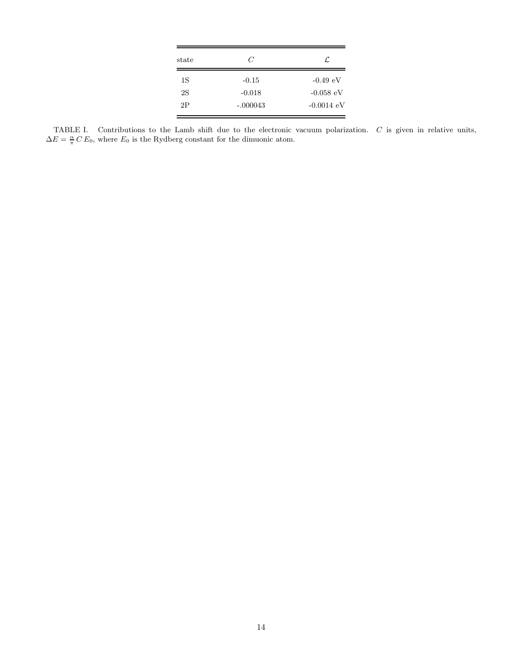| state | C          | ſ.                   |
|-------|------------|----------------------|
| 1S    | $-0.15$    | $-0.49 \text{ eV}$   |
| 2S    | $-0.018$   | $-0.058$ eV          |
| 2P    | $-.000043$ | $-0.0014 \text{ eV}$ |

<span id="page-13-0"></span>TABLE I. Contributions to the Lamb shift due to the electronic vacuum polarization. C is given in relative units,  $\Delta E = \frac{\alpha}{\pi} C E_0$ , where  $E_0$  is the Rydberg constant for the dimuonic atom.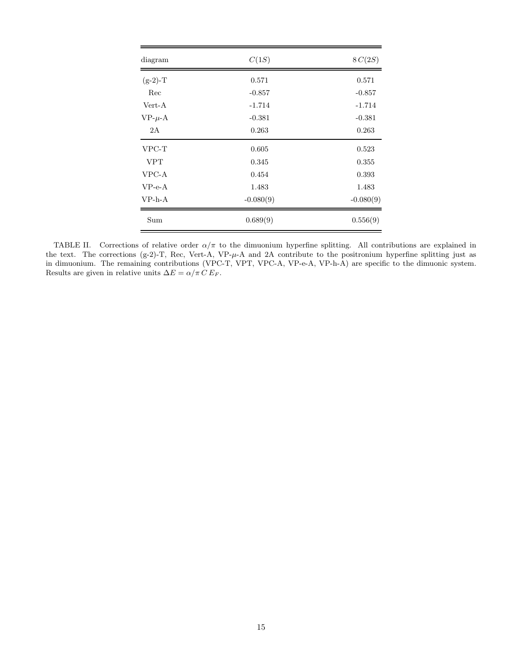<span id="page-14-0"></span>

| diagram        | C(1S)       | 8C(2S)      |
|----------------|-------------|-------------|
| $(g-2)$ -T     | 0.571       | 0.571       |
| Rec            | $-0.857$    | $-0.857$    |
| Vert-A         | $-1.714$    | $-1.714$    |
| $VP - \mu - A$ | $-0.381$    | $-0.381$    |
| 2A             | 0.263       | 0.263       |
| VPC-T          | 0.605       | 0.523       |
| <b>VPT</b>     | 0.345       | 0.355       |
| VPC-A          | 0.454       | 0.393       |
| $VP-e-A$       | 1.483       | 1.483       |
| $VP-h-A$       | $-0.080(9)$ | $-0.080(9)$ |
| Sum            | 0.689(9)    | 0.556(9)    |

TABLE II. Corrections of relative order  $\alpha/\pi$  to the dimuonium hyperfine splitting. All contributions are explained in the text. The corrections (g-2)-T, Rec, Vert-A, VP-µ-A and 2A contribute to the positronium hyperfine splitting just as in dimuonium. The remaining contributions (VPC-T, VPT, VPC-A, VP-e-A, VP-h-A) are specific to the dimuonic system. Results are given in relative units  $\Delta E = \alpha/\pi \, C \, E_F.$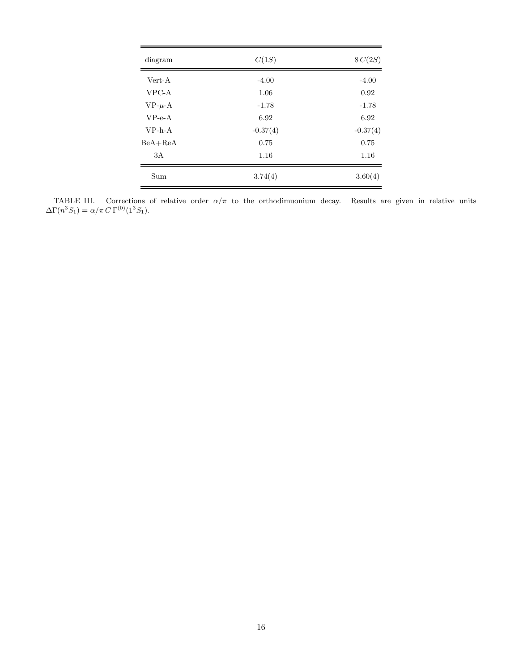<span id="page-15-0"></span>

| diagram        | C(1S)      | 8C(2S)     |
|----------------|------------|------------|
| Vert-A         | $-4.00$    | $-4.00$    |
| VPC-A          | 1.06       | 0.92       |
| $VP - \mu - A$ | $-1.78$    | $-1.78$    |
| $VP-e-A$       | 6.92       | 6.92       |
| $VP-h-A$       | $-0.37(4)$ | $-0.37(4)$ |
| $BeA+ReA$      | 0.75       | 0.75       |
| 3A             | 1.16       | 1.16       |
| Sum            | 3.74(4)    | 3.60(4)    |

TABLE III. Corrections of relative order  $\alpha/\pi$  to the orthodimuonium decay. Results are given in relative units  $\Delta\Gamma(n^3S_1) = \alpha/\pi C \Gamma^{(0)}(1^3S_1).$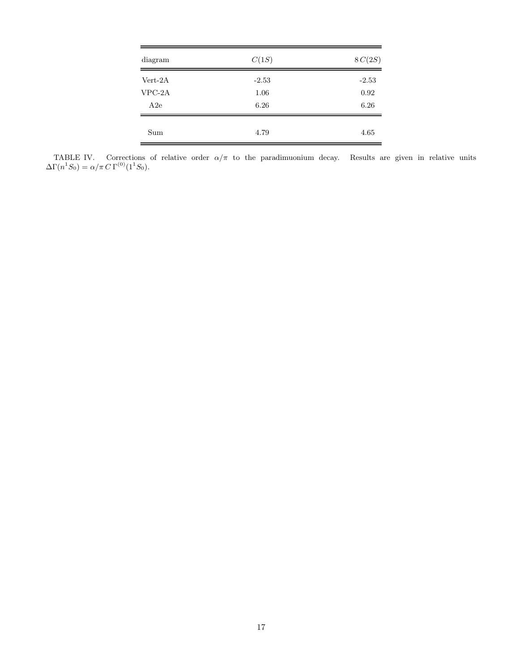<span id="page-16-0"></span>

| diagram   | C(1S)   | 8C(2S)  |
|-----------|---------|---------|
| $Vert-2A$ | $-2.53$ | $-2.53$ |
| $VPC-2A$  | 1.06    | 0.92    |
| A2e       | 6.26    | 6.26    |
| Sum       | 4.79    | 4.65    |

TABLE IV. Corrections of relative order  $\alpha/\pi$  to the paradimuonium decay. Results are given in relative units  $\Delta\Gamma(n^1S_0) = \alpha/\pi C \Gamma^{(0)}(1^1S_0).$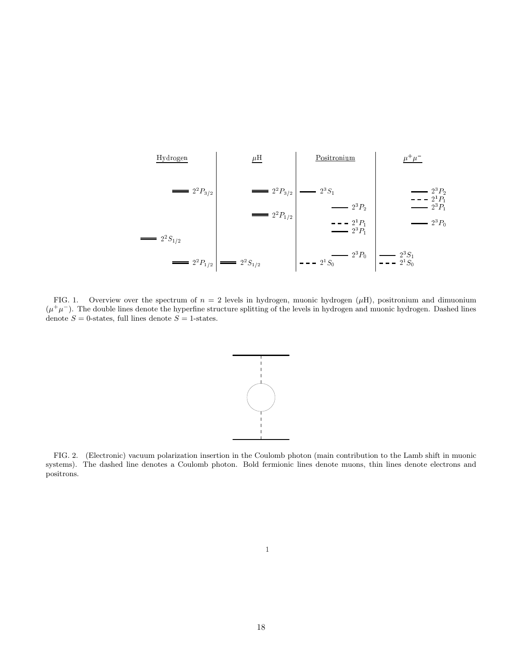<span id="page-17-0"></span>

FIG. 1. Overview over the spectrum of  $n = 2$  levels in hydrogen, muonic hydrogen ( $\mu$ H), positronium and dimuonium  $(\mu^+\mu^-)$ . The double lines denote the hyperfine structure splitting of the levels in hydrogen and muonic hydrogen. Dashed lines denote  $S = 0$ -states, full lines denote  $S = 1$ -states.



FIG. 2. (Electronic) vacuum polarization insertion in the Coulomb photon (main contribution to the Lamb shift in muonic systems). The dashed line denotes a Coulomb photon. Bold fermionic lines denote muons, thin lines denote electrons and positrons.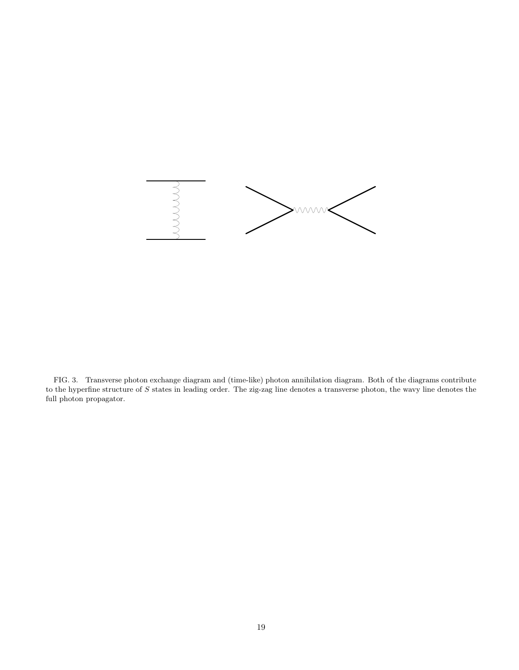<span id="page-18-0"></span>

FIG. 3. Transverse photon exchange diagram and (time-like) photon annihilation diagram. Both of the diagrams contribute to the hyperfine structure of  $S$  states in leading order. The zig-zag line denotes a transverse photon, the wavy line denotes the full photon propagator.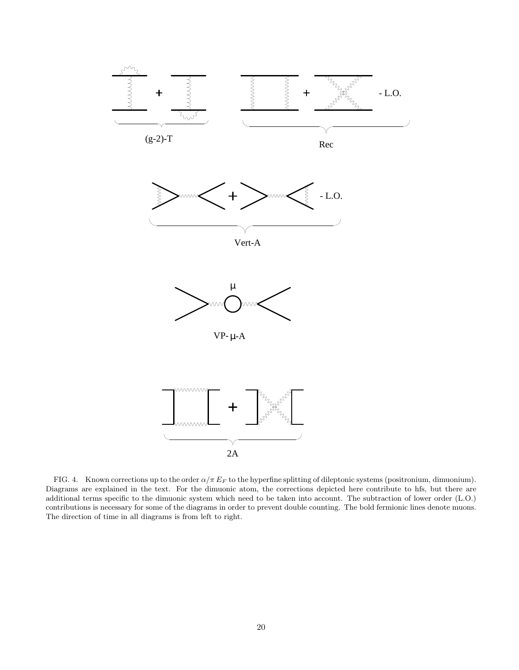<span id="page-19-0"></span>

FIG. 4. Known corrections up to the order  $\alpha/\pi E_F$  to the hyperfine splitting of dileptonic systems (positronium, dimuonium). Diagrams are explained in the text. For the dimuonic atom, the corrections depicted here contribute to hfs, but there are additional terms specific to the dimuonic system which need to be taken into account. The subtraction of lower order (L.O.) contributions is necessary for some of the diagrams in order to prevent double counting. The bold fermionic lines denote muons. The direction of time in all diagrams is from left to right.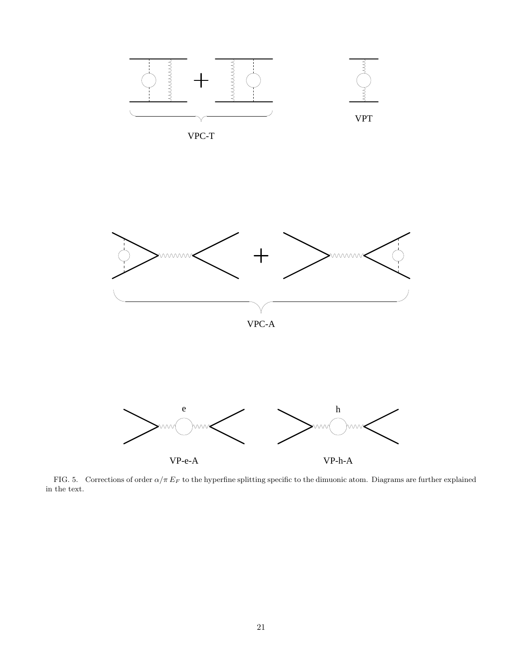<span id="page-20-0"></span>

FIG. 5. Corrections of order  $\alpha/\pi E_F$  to the hyperfine splitting specific to the dimuonic atom. Diagrams are further explained in the text.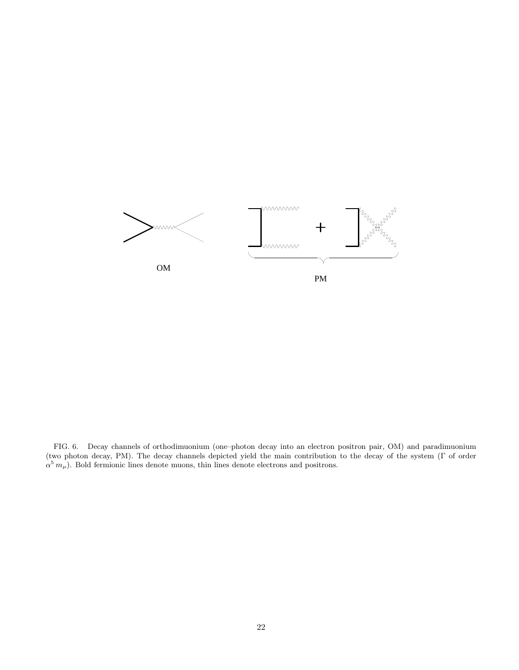

FIG. 6. Decay channels of orthodimuonium (one–photon decay into an electron positron pair, OM) and paradimuonium (two photon decay, PM). The decay channels depicted yield the main contribution to the decay of the system (Γ of order  $\alpha^5 m_\mu$ ). Bold fermionic lines denote muons, thin lines denote electrons and positrons.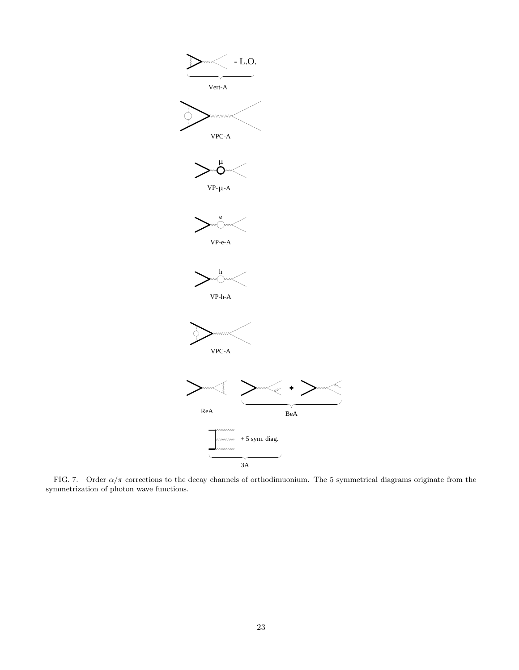<span id="page-22-0"></span>

FIG. 7. Order  $\alpha/\pi$  corrections to the decay channels of orthodimuonium. The 5 symmetrical diagrams originate from the symmetrization of photon wave functions.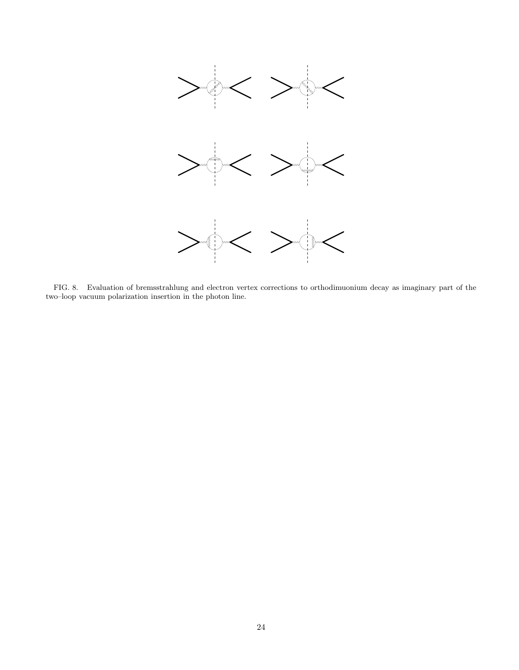<span id="page-23-0"></span>

FIG. 8. Evaluation of bremsstrahlung and electron vertex corrections to orthodimuonium decay as imaginary part of the two–loop vacuum polarization insertion in the photon line.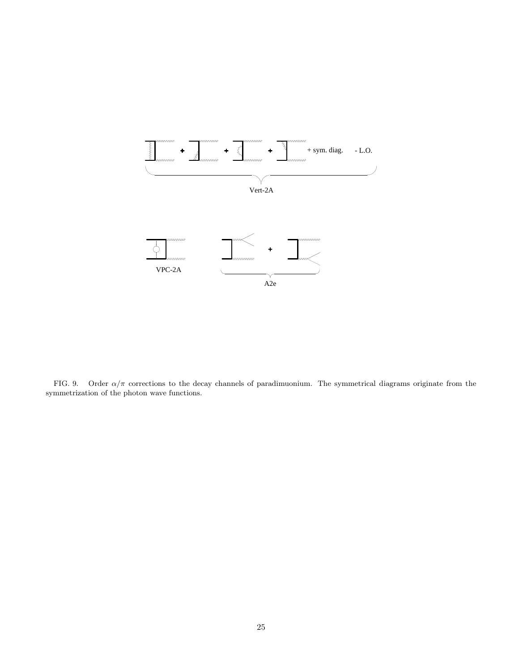<span id="page-24-0"></span>

FIG. 9. Order  $\alpha/\pi$  corrections to the decay channels of paradimuonium. The symmetrical diagrams originate from the symmetrization of the photon wave functions.